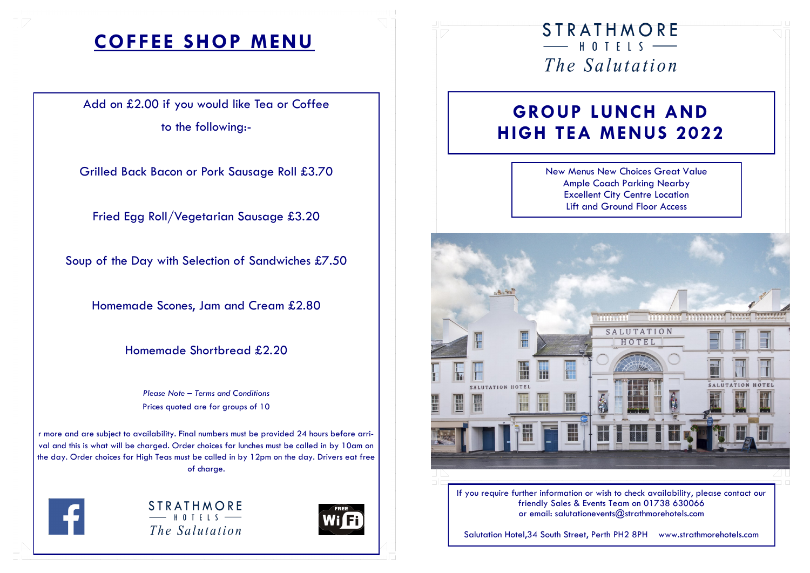# **COFFEE SHOP MENU**

Add on £2.00 if you would like Tea or Coffee to the following:-

Grilled Back Bacon or Pork Sausage Roll £3.70

Fried Egg Roll/Vegetarian Sausage £3.20

Soup of the Day with Selection of Sandwiches £7.50

Homemade Scones, Jam and Cream £2.80

Homemade Shortbread £2.20

*Please Note – Terms and Conditions*  Prices quoted are for groups of 10

r more and are subject to availability. Final numbers must be provided 24 hours before arrival and this is what will be charged. Order choices for lunches must be called in by 10am on the day. Order choices for High Teas must be called in by 12pm on the day. Drivers eat free of charge.



**STRATHMORE**  $-$  HOTFIS  $-$ The Salutation



### STRATHMORE  $-$  HOTFIS  $-$ The Salutation

## **GROUP LUNCH AND HIGH TEA MENUS 2022**

New Menus New Choices Great Value Ample Coach Parking Nearby Excellent City Centre Location Lift and Ground Floor Access



If you require further information or wish to check availability, please contact our friendly Sales & Events Team on 01738 630066 or email: salutationevents@strathmorehotels.com

Salutation Hotel,34 South Street, Perth PH2 8PH www.strathmorehotels.com